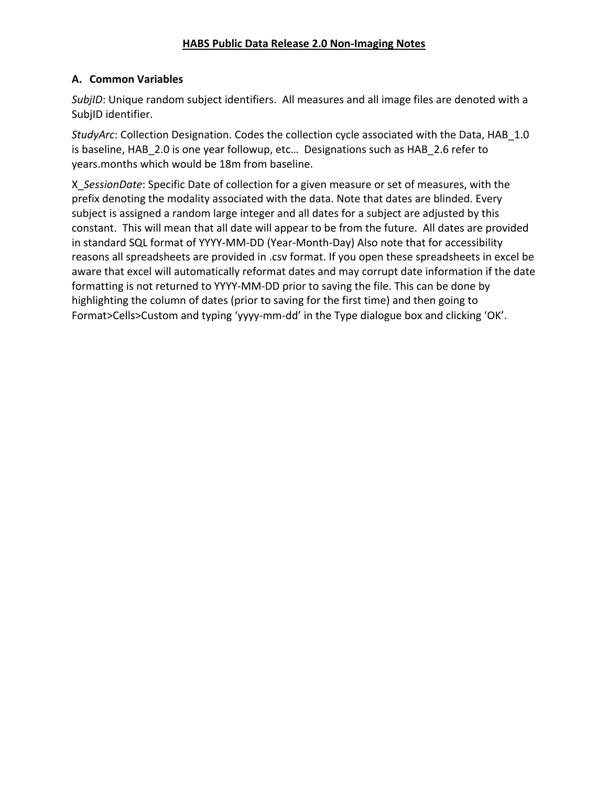# **A. Common Variables**

*SubjID*: Unique random subject identifiers. All measures and all image files are denoted with a SubjID identifier.

*StudyArc*: Collection Designation. Codes the collection cycle associated with the Data, HAB\_1.0 is baseline, HAB\_2.0 is one year followup, etc… Designations such as HAB\_2.6 refer to years.months which would be 18m from baseline.

X\_*SessionDate*: Specific Date of collection for a given measure or set of measures, with the prefix denoting the modality associated with the data. Note that dates are blinded. Every subject is assigned a random large integer and all dates for a subject are adjusted by this constant. This will mean that all date will appear to be from the future. All dates are provided in standard SQL format of YYYY-MM-DD (Year-Month-Day) Also note that for accessibility reasons all spreadsheets are provided in .csv format. If you open these spreadsheets in excel be aware that excel will automatically reformat dates and may corrupt date information if the date formatting is not returned to YYYY-MM-DD prior to saving the file. This can be done by highlighting the column of dates (prior to saving for the first time) and then going to Format>Cells>Custom and typing 'yyyy-mm-dd' in the Type dialogue box and clicking 'OK'.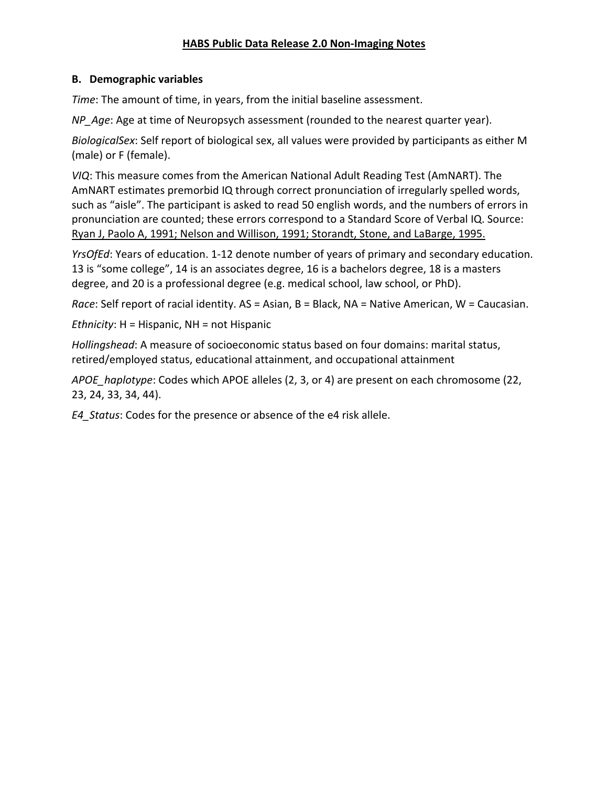# **B. Demographic variables**

*Time*: The amount of time, in years, from the initial baseline assessment.

*NP\_Age*: Age at time of Neuropsych assessment (rounded to the nearest quarter year).

*BiologicalSex*: Self report of biological sex, all values were provided by participants as either M (male) or F (female).

*VIQ*: This measure comes from the American National Adult Reading Test (AmNART). The AmNART estimates premorbid IQ through correct pronunciation of irregularly spelled words, such as "aisle". The participant is asked to read 50 english words, and the numbers of errors in pronunciation are counted; these errors correspond to a Standard Score of Verbal IQ. Source: Ryan J, Paolo A, 1991; Nelson and Willison, 1991; Storandt, Stone, and LaBarge, 1995.

*YrsOfEd*: Years of education. 1-12 denote number of years of primary and secondary education. 13 is "some college", 14 is an associates degree, 16 is a bachelors degree, 18 is a masters degree, and 20 is a professional degree (e.g. medical school, law school, or PhD).

*Race*: Self report of racial identity. AS = Asian, B = Black, NA = Native American, W = Caucasian.

*Ethnicity*: H = Hispanic, NH = not Hispanic

*Hollingshead*: A measure of socioeconomic status based on four domains: marital status, retired/employed status, educational attainment, and occupational attainment

*APOE\_haplotype*: Codes which APOE alleles (2, 3, or 4) are present on each chromosome (22, 23, 24, 33, 34, 44).

*E4\_Status*: Codes for the presence or absence of the e4 risk allele.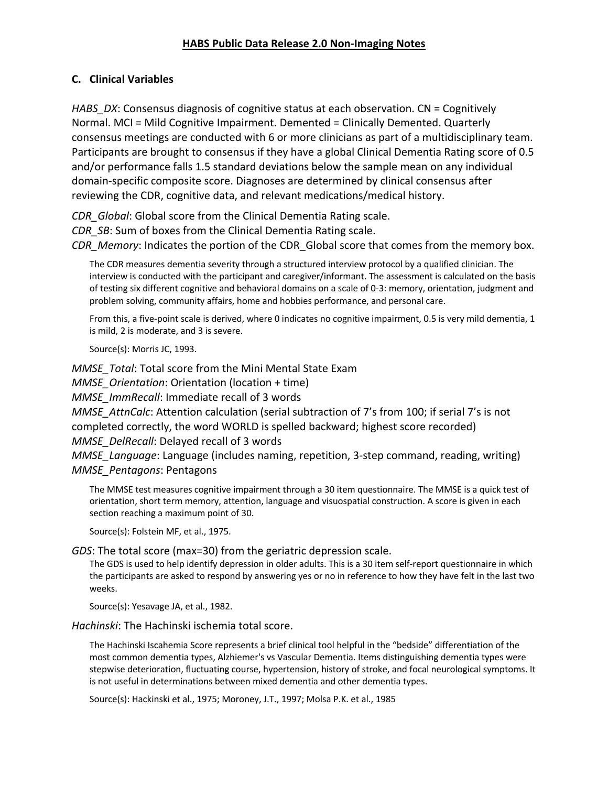# **C. Clinical Variables**

*HABS\_DX*: Consensus diagnosis of cognitive status at each observation. CN = Cognitively Normal. MCI = Mild Cognitive Impairment. Demented = Clinically Demented. Quarterly consensus meetings are conducted with 6 or more clinicians as part of a multidisciplinary team. Participants are brought to consensus if they have a global Clinical Dementia Rating score of 0.5 and/or performance falls 1.5 standard deviations below the sample mean on any individual domain-specific composite score. Diagnoses are determined by clinical consensus after reviewing the CDR, cognitive data, and relevant medications/medical history.

*CDR\_Global*: Global score from the Clinical Dementia Rating scale. *CDR\_SB*: Sum of boxes from the Clinical Dementia Rating scale. *CDR\_Memory*: Indicates the portion of the CDR\_Global score that comes from the memory box.

The CDR measures dementia severity through a structured interview protocol by a qualified clinician. The interview is conducted with the participant and caregiver/informant. The assessment is calculated on the basis of testing six different cognitive and behavioral domains on a scale of 0-3: memory, orientation, judgment and problem solving, community affairs, home and hobbies performance, and personal care.

From this, a five-point scale is derived, where 0 indicates no cognitive impairment, 0.5 is very mild dementia, 1 is mild, 2 is moderate, and 3 is severe.

Source(s): Morris JC, 1993.

*MMSE\_Total*: Total score from the Mini Mental State Exam *MMSE\_Orientation*: Orientation (location + time) *MMSE\_ImmRecall*: Immediate recall of 3 words *MMSE\_AttnCalc*: Attention calculation (serial subtraction of 7's from 100; if serial 7's is not completed correctly, the word WORLD is spelled backward; highest score recorded) *MMSE\_DelRecall*: Delayed recall of 3 words *MMSE\_Language*: Language (includes naming, repetition, 3-step command, reading, writing) *MMSE\_Pentagons*: Pentagons

The MMSE test measures cognitive impairment through a 30 item questionnaire. The MMSE is a quick test of orientation, short term memory, attention, language and visuospatial construction. A score is given in each section reaching a maximum point of 30.

Source(s): Folstein MF, et al., 1975.

*GDS*: The total score (max=30) from the geriatric depression scale.

The GDS is used to help identify depression in older adults. This is a 30 item self-report questionnaire in which the participants are asked to respond by answering yes or no in reference to how they have felt in the last two weeks.

Source(s): Yesavage JA, et al., 1982.

*Hachinski*: The Hachinski ischemia total score.

The Hachinski Iscahemia Score represents a brief clinical tool helpful in the "bedside" differentiation of the most common dementia types, Alzhiemer's vs Vascular Dementia. Items distinguishing dementia types were stepwise deterioration, fluctuating course, hypertension, history of stroke, and focal neurological symptoms. It is not useful in determinations between mixed dementia and other dementia types.

Source(s): Hackinski et al., 1975; Moroney, J.T., 1997; Molsa P.K. et al., 1985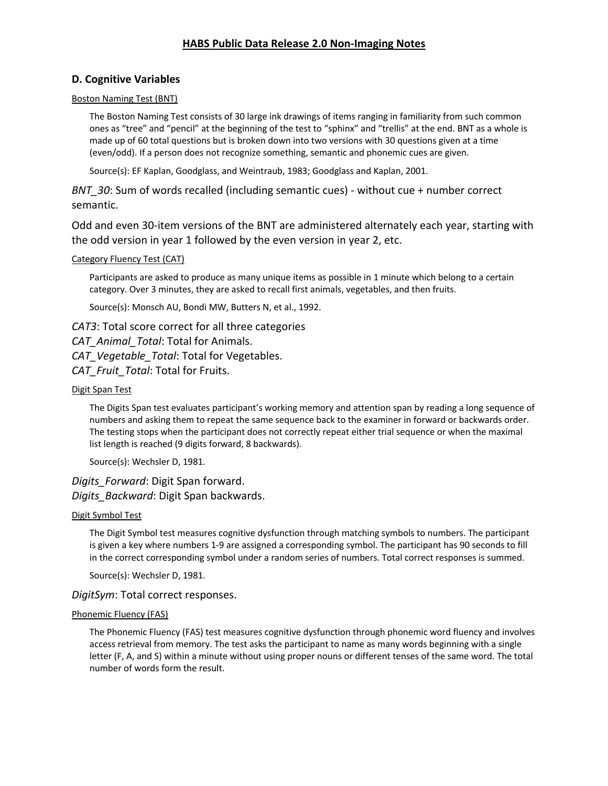### **D. Cognitive Variables**

#### Boston Naming Test (BNT)

The Boston Naming Test consists of 30 large ink drawings of items ranging in familiarity from such common ones as "tree" and "pencil" at the beginning of the test to "sphinx" and "trellis" at the end. BNT as a whole is made up of 60 total questions but is broken down into two versions with 30 questions given at a time (even/odd). If a person does not recognize something, semantic and phonemic cues are given.

Source(s): EF Kaplan, Goodglass, and Weintraub, 1983; Goodglass and Kaplan, 2001.

*BNT* 30: Sum of words recalled (including semantic cues) - without cue + number correct semantic.

Odd and even 30-item versions of the BNT are administered alternately each year, starting with the odd version in year 1 followed by the even version in year 2, etc.

#### Category Fluency Test (CAT)

Participants are asked to produce as many unique items as possible in 1 minute which belong to a certain category. Over 3 minutes, they are asked to recall first animals, vegetables, and then fruits.

Source(s): Monsch AU, Bondi MW, Butters N, et al., 1992.

*CAT3*: Total score correct for all three categories *CAT\_Animal\_Total*: Total for Animals. *CAT\_Vegetable\_Total*: Total for Vegetables. *CAT\_Fruit\_Total*: Total for Fruits.

#### Digit Span Test

The Digits Span test evaluates participant's working memory and attention span by reading a long sequence of numbers and asking them to repeat the same sequence back to the examiner in forward or backwards order. The testing stops when the participant does not correctly repeat either trial sequence or when the maximal list length is reached (9 digits forward, 8 backwards).

Source(s): Wechsler D, 1981.

## *Digits\_Forward*: Digit Span forward. *Digits\_Backward*: Digit Span backwards.

#### Digit Symbol Test

The Digit Symbol test measures cognitive dysfunction through matching symbols to numbers. The participant is given a key where numbers 1-9 are assigned a corresponding symbol. The participant has 90 seconds to fill in the correct corresponding symbol under a random series of numbers. Total correct responses is summed.

Source(s): Wechsler D, 1981.

### *DigitSym*: Total correct responses.

#### Phonemic Fluency (FAS)

The Phonemic Fluency (FAS) test measures cognitive dysfunction through phonemic word fluency and involves access retrieval from memory. The test asks the participant to name as many words beginning with a single letter (F, A, and S) within a minute without using proper nouns or different tenses of the same word. The total number of words form the result.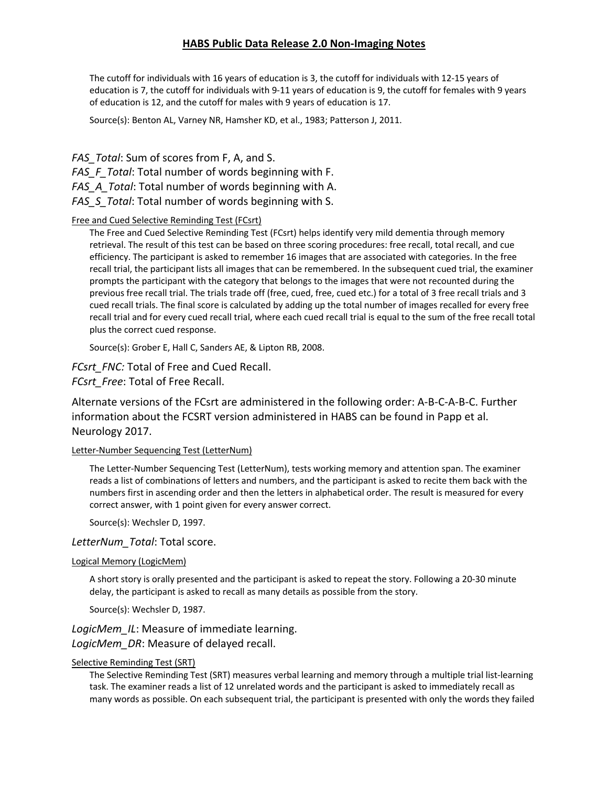The cutoff for individuals with 16 years of education is 3, the cutoff for individuals with 12-15 years of education is 7, the cutoff for individuals with 9-11 years of education is 9, the cutoff for females with 9 years of education is 12, and the cutoff for males with 9 years of education is 17.

Source(s): Benton AL, Varney NR, Hamsher KD, et al., 1983; Patterson J, 2011.

*FAS\_Total*: Sum of scores from F, A, and S. *FAS\_F\_Total*: Total number of words beginning with F. *FAS\_A\_Total*: Total number of words beginning with A. *FAS\_S\_Total*: Total number of words beginning with S.

### Free and Cued Selective Reminding Test (FCsrt)

The Free and Cued Selective Reminding Test (FCsrt) helps identify very mild dementia through memory retrieval. The result of this test can be based on three scoring procedures: free recall, total recall, and cue efficiency. The participant is asked to remember 16 images that are associated with categories. In the free recall trial, the participant lists all images that can be remembered. In the subsequent cued trial, the examiner prompts the participant with the category that belongs to the images that were not recounted during the previous free recall trial. The trials trade off (free, cued, free, cued etc.) for a total of 3 free recall trials and 3 cued recall trials. The final score is calculated by adding up the total number of images recalled for every free recall trial and for every cued recall trial, where each cued recall trial is equal to the sum of the free recall total plus the correct cued response.

Source(s): Grober E, Hall C, Sanders AE, & Lipton RB, 2008.

*FCsrt\_FNC:* Total of Free and Cued Recall.

*FCsrt\_Free*: Total of Free Recall.

Alternate versions of the FCsrt are administered in the following order: A-B-C-A-B-C. Further information about the FCSRT version administered in HABS can be found in Papp et al. Neurology 2017.

### Letter-Number Sequencing Test (LetterNum)

The Letter-Number Sequencing Test (LetterNum), tests working memory and attention span. The examiner reads a list of combinations of letters and numbers, and the participant is asked to recite them back with the numbers first in ascending order and then the letters in alphabetical order. The result is measured for every correct answer, with 1 point given for every answer correct.

Source(s): Wechsler D, 1997.

### *LetterNum\_Total*: Total score.

### Logical Memory (LogicMem)

A short story is orally presented and the participant is asked to repeat the story. Following a 20-30 minute delay, the participant is asked to recall as many details as possible from the story.

Source(s): Wechsler D, 1987.

*LogicMem\_IL*: Measure of immediate learning. *LogicMem\_DR*: Measure of delayed recall.

#### Selective Reminding Test (SRT)

The Selective Reminding Test (SRT) measures verbal learning and memory through a multiple trial list-learning task. The examiner reads a list of 12 unrelated words and the participant is asked to immediately recall as many words as possible. On each subsequent trial, the participant is presented with only the words they failed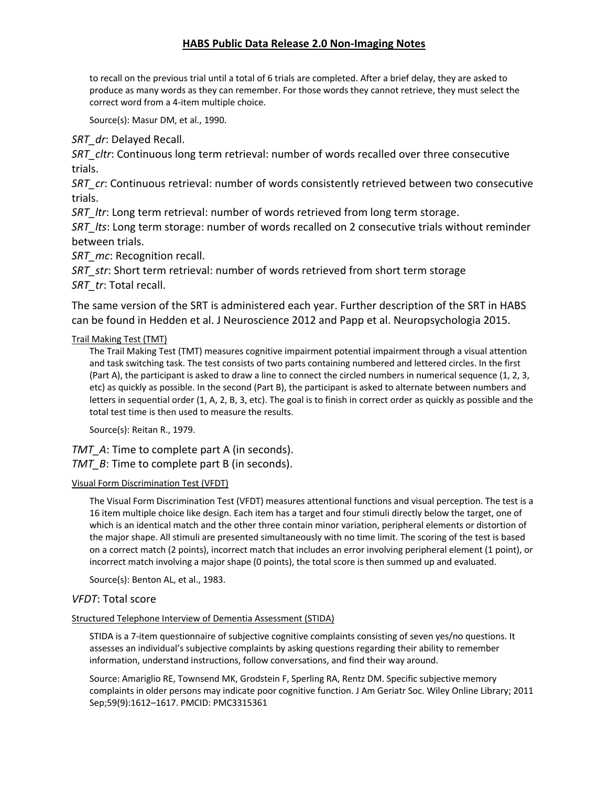to recall on the previous trial until a total of 6 trials are completed. After a brief delay, they are asked to produce as many words as they can remember. For those words they cannot retrieve, they must select the correct word from a 4-item multiple choice.

Source(s): Masur DM, et al., 1990.

*SRT\_dr*: Delayed Recall.

*SRT\_cltr*: Continuous long term retrieval: number of words recalled over three consecutive trials.

*SRT\_cr*: Continuous retrieval: number of words consistently retrieved between two consecutive trials.

*SRT\_ltr*: Long term retrieval: number of words retrieved from long term storage.

*SRT\_lts*: Long term storage: number of words recalled on 2 consecutive trials without reminder between trials.

*SRT\_mc*: Recognition recall.

*SRT\_str*: Short term retrieval: number of words retrieved from short term storage *SRT\_tr*: Total recall.

The same version of the SRT is administered each year. Further description of the SRT in HABS can be found in Hedden et al. J Neuroscience 2012 and Papp et al. Neuropsychologia 2015.

### Trail Making Test (TMT)

The Trail Making Test (TMT) measures cognitive impairment potential impairment through a visual attention and task switching task. The test consists of two parts containing numbered and lettered circles. In the first (Part A), the participant is asked to draw a line to connect the circled numbers in numerical sequence (1, 2, 3, etc) as quickly as possible. In the second (Part B), the participant is asked to alternate between numbers and letters in sequential order (1, A, 2, B, 3, etc). The goal is to finish in correct order as quickly as possible and the total test time is then used to measure the results.

Source(s): Reitan R., 1979.

*TMT* A: Time to complete part A (in seconds). *TMT B*: Time to complete part B (in seconds).

### Visual Form Discrimination Test (VFDT)

The Visual Form Discrimination Test (VFDT) measures attentional functions and visual perception. The test is a 16 item multiple choice like design. Each item has a target and four stimuli directly below the target, one of which is an identical match and the other three contain minor variation, peripheral elements or distortion of the major shape. All stimuli are presented simultaneously with no time limit. The scoring of the test is based on a correct match (2 points), incorrect match that includes an error involving peripheral element (1 point), or incorrect match involving a major shape (0 points), the total score is then summed up and evaluated.

Source(s): Benton AL, et al., 1983.

### *VFDT*: Total score

### Structured Telephone Interview of Dementia Assessment (STIDA)

STIDA is a 7-item questionnaire of subjective cognitive complaints consisting of seven yes/no questions. It assesses an individual's subjective complaints by asking questions regarding their ability to remember information, understand instructions, follow conversations, and find their way around.

Source: Amariglio RE, Townsend MK, Grodstein F, Sperling RA, Rentz DM. Specific subjective memory complaints in older persons may indicate poor cognitive function. J Am Geriatr Soc. Wiley Online Library; 2011 Sep;59(9):1612–1617. PMCID: PMC3315361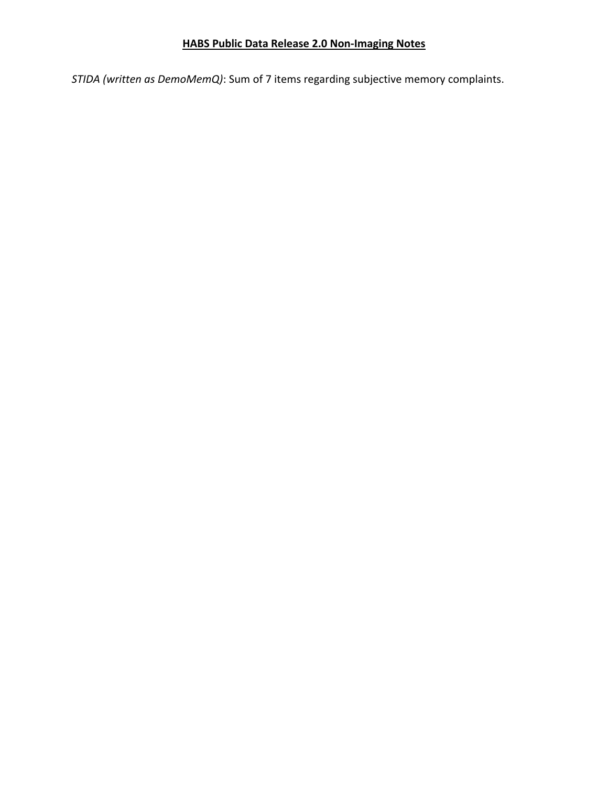*STIDA (written as DemoMemQ)*: Sum of 7 items regarding subjective memory complaints.